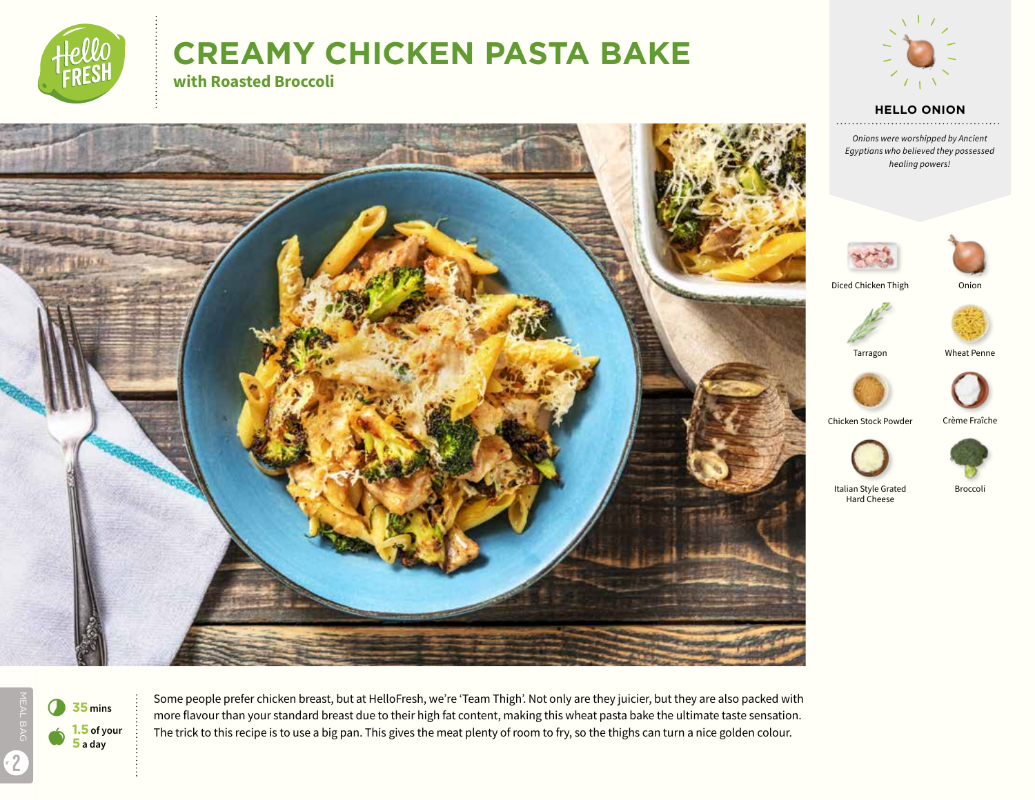

# **CREAMY CHICKEN PASTA BAKE with Roasted Broccoli**



#### **HELLO ONION**

*Onions were worshipped by Ancient Egyptians who believed they possessed healing powers!*





Chicken Stock Powder Crème Fraîche





Italian Style Grated Broccoli Hard Cheese

MEAL BAG 2



Some people prefer chicken breast, but at HelloFresh, we're 'Team Thigh'. Not only are they juicier, but they are also packed with more flavour than your standard breast due to their high fat content, making this wheat pasta bake the ultimate taste sensation. The trick to this recipe is to use a big pan. This gives the meat plenty of room to fry, so the thighs can turn a nice golden colour.